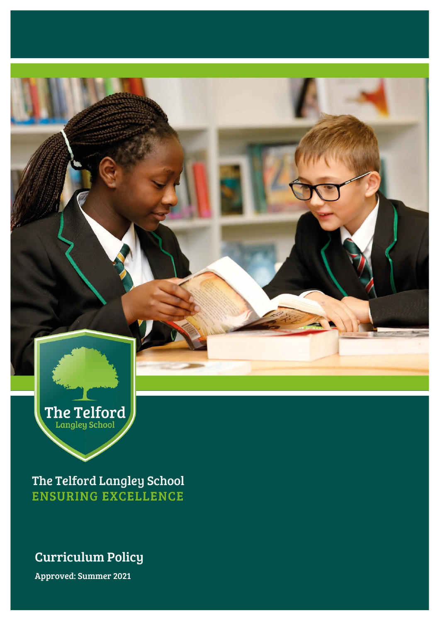

The Telford Langley School **ENSURING EXCELLENCE** 

# Curriculum Policy

Approved: Summer 2021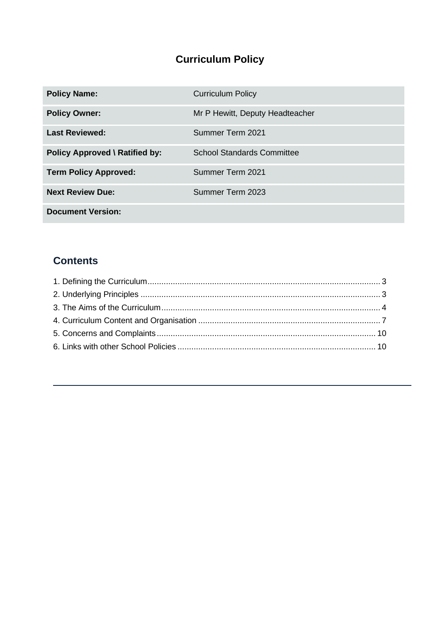# **Curriculum Policy**

| <b>Policy Name:</b>            | <b>Curriculum Policy</b>          |
|--------------------------------|-----------------------------------|
| <b>Policy Owner:</b>           | Mr P Hewitt, Deputy Headteacher   |
| <b>Last Reviewed:</b>          | Summer Term 2021                  |
| Policy Approved \ Ratified by: | <b>School Standards Committee</b> |
| <b>Term Policy Approved:</b>   | Summer Term 2021                  |
| <b>Next Review Due:</b>        | Summer Term 2023                  |
| <b>Document Version:</b>       |                                   |

# **Contents**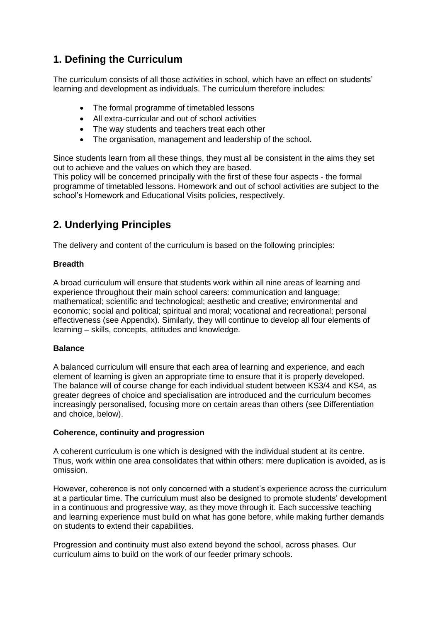### <span id="page-2-0"></span>**1. Defining the Curriculum**

The curriculum consists of all those activities in school, which have an effect on students' learning and development as individuals. The curriculum therefore includes:

- The formal programme of timetabled lessons
- All extra-curricular and out of school activities
- The way students and teachers treat each other
- The organisation, management and leadership of the school.

Since students learn from all these things, they must all be consistent in the aims they set out to achieve and the values on which they are based.

This policy will be concerned principally with the first of these four aspects - the formal programme of timetabled lessons. Homework and out of school activities are subject to the school's Homework and Educational Visits policies, respectively.

# <span id="page-2-1"></span>**2. Underlying Principles**

The delivery and content of the curriculum is based on the following principles:

#### **Breadth**

A broad curriculum will ensure that students work within all nine areas of learning and experience throughout their main school careers: communication and language; mathematical; scientific and technological; aesthetic and creative; environmental and economic; social and political; spiritual and moral; vocational and recreational; personal effectiveness (see Appendix). Similarly, they will continue to develop all four elements of learning – skills, concepts, attitudes and knowledge.

#### **Balance**

A balanced curriculum will ensure that each area of learning and experience, and each element of learning is given an appropriate time to ensure that it is properly developed. The balance will of course change for each individual student between KS3/4 and KS4, as greater degrees of choice and specialisation are introduced and the curriculum becomes increasingly personalised, focusing more on certain areas than others (see Differentiation and choice, below).

#### **Coherence, continuity and progression**

A coherent curriculum is one which is designed with the individual student at its centre. Thus, work within one area consolidates that within others: mere duplication is avoided, as is omission.

However, coherence is not only concerned with a student's experience across the curriculum at a particular time. The curriculum must also be designed to promote students' development in a continuous and progressive way, as they move through it. Each successive teaching and learning experience must build on what has gone before, while making further demands on students to extend their capabilities.

Progression and continuity must also extend beyond the school, across phases. Our curriculum aims to build on the work of our feeder primary schools.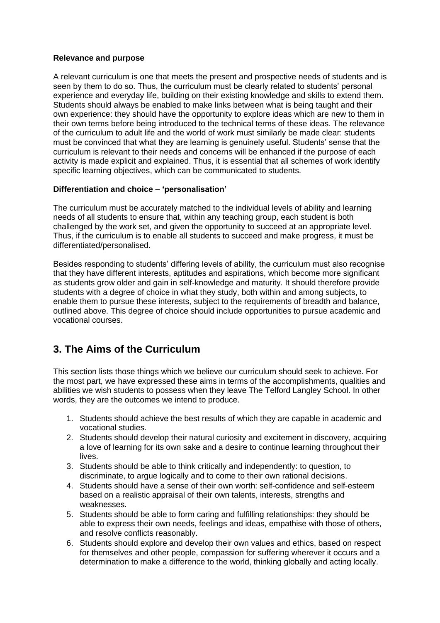#### **Relevance and purpose**

A relevant curriculum is one that meets the present and prospective needs of students and is seen by them to do so. Thus, the curriculum must be clearly related to students' personal experience and everyday life, building on their existing knowledge and skills to extend them. Students should always be enabled to make links between what is being taught and their own experience: they should have the opportunity to explore ideas which are new to them in their own terms before being introduced to the technical terms of these ideas. The relevance of the curriculum to adult life and the world of work must similarly be made clear: students must be convinced that what they are learning is genuinely useful. Students' sense that the curriculum is relevant to their needs and concerns will be enhanced if the purpose of each activity is made explicit and explained. Thus, it is essential that all schemes of work identify specific learning objectives, which can be communicated to students.

#### **Differentiation and choice – 'personalisation'**

The curriculum must be accurately matched to the individual levels of ability and learning needs of all students to ensure that, within any teaching group, each student is both challenged by the work set, and given the opportunity to succeed at an appropriate level. Thus, if the curriculum is to enable all students to succeed and make progress, it must be differentiated/personalised.

Besides responding to students' differing levels of ability, the curriculum must also recognise that they have different interests, aptitudes and aspirations, which become more significant as students grow older and gain in self-knowledge and maturity. It should therefore provide students with a degree of choice in what they study, both within and among subjects, to enable them to pursue these interests, subject to the requirements of breadth and balance, outlined above. This degree of choice should include opportunities to pursue academic and vocational courses.

### <span id="page-3-0"></span>**3. The Aims of the Curriculum**

This section lists those things which we believe our curriculum should seek to achieve. For the most part, we have expressed these aims in terms of the accomplishments, qualities and abilities we wish students to possess when they leave The Telford Langley School. In other words, they are the outcomes we intend to produce.

- 1. Students should achieve the best results of which they are capable in academic and vocational studies.
- 2. Students should develop their natural curiosity and excitement in discovery, acquiring a love of learning for its own sake and a desire to continue learning throughout their lives.
- 3. Students should be able to think critically and independently: to question, to discriminate, to argue logically and to come to their own rational decisions.
- 4. Students should have a sense of their own worth: self-confidence and self-esteem based on a realistic appraisal of their own talents, interests, strengths and weaknesses.
- 5. Students should be able to form caring and fulfilling relationships: they should be able to express their own needs, feelings and ideas, empathise with those of others, and resolve conflicts reasonably.
- 6. Students should explore and develop their own values and ethics, based on respect for themselves and other people, compassion for suffering wherever it occurs and a determination to make a difference to the world, thinking globally and acting locally.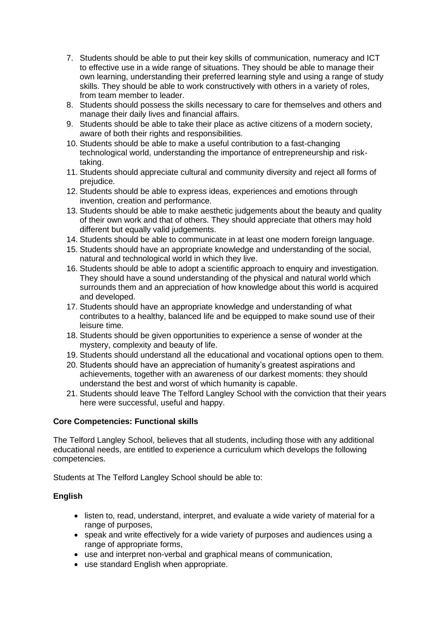- 7. Students should be able to put their key skills of communication, numeracy and ICT to effective use in a wide range of situations. They should be able to manage their own learning, understanding their preferred learning style and using a range of study skills. They should be able to work constructively with others in a variety of roles, from team member to leader.
- 8. Students should possess the skills necessary to care for themselves and others and manage their daily lives and financial affairs.
- 9. Students should be able to take their place as active citizens of a modern society, aware of both their rights and responsibilities.
- 10. Students should be able to make a useful contribution to a fast-changing technological world, understanding the importance of entrepreneurship and risktaking.
- 11. Students should appreciate cultural and community diversity and reject all forms of prejudice.
- 12. Students should be able to express ideas, experiences and emotions through invention, creation and performance.
- 13. Students should be able to make aesthetic judgements about the beauty and quality of their own work and that of others. They should appreciate that others may hold different but equally valid judgements.
- 14. Students should be able to communicate in at least one modern foreign language.
- 15. Students should have an appropriate knowledge and understanding of the social, natural and technological world in which they live.
- 16. Students should be able to adopt a scientific approach to enquiry and investigation. They should have a sound understanding of the physical and natural world which surrounds them and an appreciation of how knowledge about this world is acquired and developed.
- 17. Students should have an appropriate knowledge and understanding of what contributes to a healthy, balanced life and be equipped to make sound use of their leisure time.
- 18. Students should be given opportunities to experience a sense of wonder at the mystery, complexity and beauty of life.
- 19. Students should understand all the educational and vocational options open to them.
- 20. Students should have an appreciation of humanity's greatest aspirations and achievements, together with an awareness of our darkest moments: they should understand the best and worst of which humanity is capable.
- 21. Students should leave The Telford Langley School with the conviction that their years here were successful, useful and happy.

#### **Core Competencies: Functional skills**

The Telford Langley School, believes that all students, including those with any additional educational needs, are entitled to experience a curriculum which develops the following competencies.

Students at The Telford Langley School should be able to:

#### **English**

- listen to, read, understand, interpret, and evaluate a wide variety of material for a range of purposes,
- speak and write effectively for a wide variety of purposes and audiences using a range of appropriate forms,
- use and interpret non-verbal and graphical means of communication,
- use standard English when appropriate.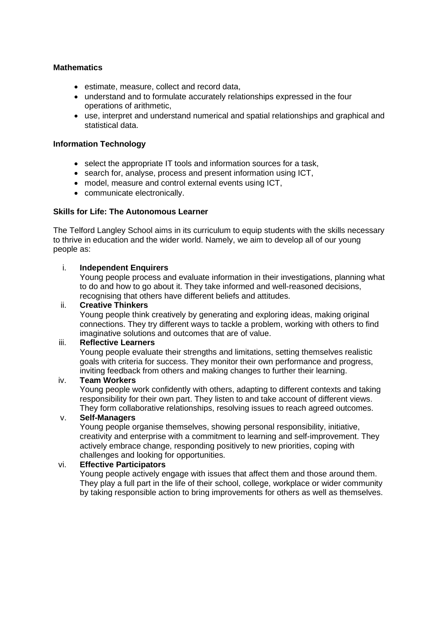#### **Mathematics**

- estimate, measure, collect and record data,
- understand and to formulate accurately relationships expressed in the four operations of arithmetic,
- use, interpret and understand numerical and spatial relationships and graphical and statistical data.

#### **Information Technology**

- select the appropriate IT tools and information sources for a task,
- search for, analyse, process and present information using ICT,
- model, measure and control external events using ICT,
- communicate electronically.

#### **Skills for Life: The Autonomous Learner**

The Telford Langley School aims in its curriculum to equip students with the skills necessary to thrive in education and the wider world. Namely, we aim to develop all of our young people as:

#### i. **Independent Enquirers**

Young people process and evaluate information in their investigations, planning what to do and how to go about it. They take informed and well-reasoned decisions, recognising that others have different beliefs and attitudes.

#### ii. **Creative Thinkers**

Young people think creatively by generating and exploring ideas, making original connections. They try different ways to tackle a problem, working with others to find imaginative solutions and outcomes that are of value.

#### iii. **Reflective Learners**

Young people evaluate their strengths and limitations, setting themselves realistic goals with criteria for success. They monitor their own performance and progress, inviting feedback from others and making changes to further their learning.

#### iv. **Team Workers**

Young people work confidently with others, adapting to different contexts and taking responsibility for their own part. They listen to and take account of different views. They form collaborative relationships, resolving issues to reach agreed outcomes.

#### v. **Self-Managers**

Young people organise themselves, showing personal responsibility, initiative, creativity and enterprise with a commitment to learning and self-improvement. They actively embrace change, responding positively to new priorities, coping with challenges and looking for opportunities.

#### vi. **Effective Participators**

Young people actively engage with issues that affect them and those around them. They play a full part in the life of their school, college, workplace or wider community by taking responsible action to bring improvements for others as well as themselves.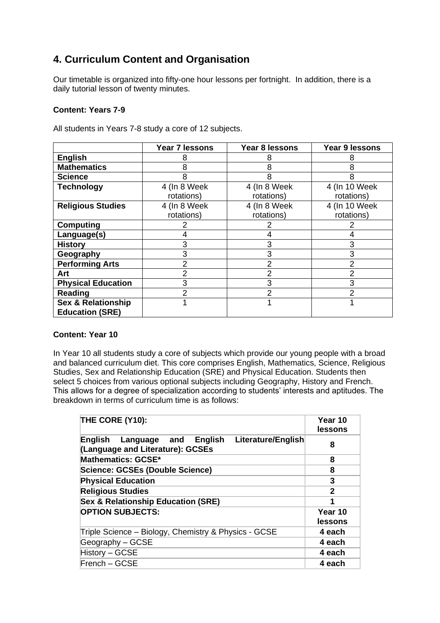## <span id="page-6-0"></span>**4. Curriculum Content and Organisation**

Our timetable is organized into fifty-one hour lessons per fortnight. In addition, there is a daily tutorial lesson of twenty minutes.

#### **Content: Years 7-9**

All students in Years 7-8 study a core of 12 subjects.

|                               | Year 7 lessons | Year 8 lessons | Year 9 lessons |
|-------------------------------|----------------|----------------|----------------|
| <b>English</b>                | 8              |                |                |
| <b>Mathematics</b>            | 8              | 8              | 8              |
| <b>Science</b>                | 8              | 8              | 8              |
| <b>Technology</b>             | 4 (In 8 Week   | 4 (In 8 Week   | 4 (In 10 Week  |
|                               | rotations)     | rotations)     | rotations)     |
| <b>Religious Studies</b>      | 4 (In 8 Week   | 4 (In 8 Week   | 4 (In 10 Week  |
|                               | rotations)     | rotations)     | rotations)     |
| Computing                     |                |                |                |
| Language(s)                   |                |                | 4              |
| <b>History</b>                | 3              | 3              | 3              |
| Geography                     | 3              | 3              | 3              |
| <b>Performing Arts</b>        | 2              | 2              | 2              |
| Art                           | 2              | 2              | 2              |
| <b>Physical Education</b>     | 3              | 3              | 3              |
| Reading                       | $\mathfrak{p}$ | 2              | 2              |
| <b>Sex &amp; Relationship</b> |                |                |                |
| <b>Education (SRE)</b>        |                |                |                |

#### **Content: Year 10**

In Year 10 all students study a core of subjects which provide our young people with a broad and balanced curriculum diet. This core comprises English, Mathematics, Science, Religious Studies, Sex and Relationship Education (SRE) and Physical Education. Students then select 5 choices from various optional subjects including Geography, History and French. This allows for a degree of specialization according to students' interests and aptitudes. The breakdown in terms of curriculum time is as follows:

| THE CORE (Y10):                                                                           | Year 10<br>lessons |
|-------------------------------------------------------------------------------------------|--------------------|
| Literature/English<br>English<br>English Language and<br>(Language and Literature): GCSEs | 8                  |
| <b>Mathematics: GCSE*</b>                                                                 | 8                  |
| Science: GCSEs (Double Science)                                                           | 8                  |
| <b>Physical Education</b>                                                                 | 3                  |
| <b>Religious Studies</b>                                                                  | $\mathbf{2}$       |
| <b>Sex &amp; Relationship Education (SRE)</b>                                             | 1                  |
| <b>OPTION SUBJECTS:</b>                                                                   | Year 10<br>lessons |
| Triple Science - Biology, Chemistry & Physics - GCSE                                      | 4 each             |
| Geography - GCSE                                                                          | 4 each             |
| History - GCSE                                                                            | 4 each             |
| French – GCSE                                                                             | 4 each             |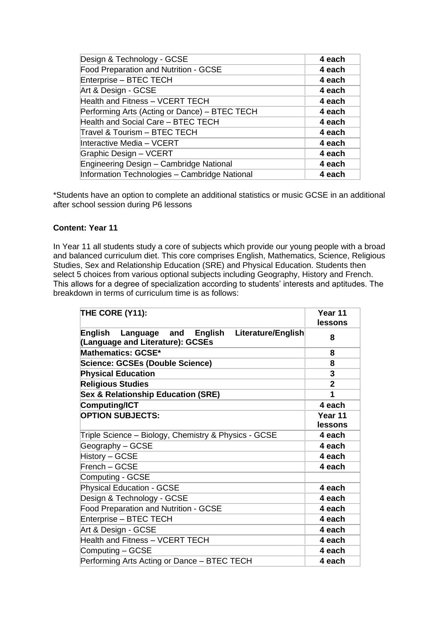| Design & Technology - GCSE                    | 4 each |
|-----------------------------------------------|--------|
| Food Preparation and Nutrition - GCSE         | 4 each |
| Enterprise - BTEC TECH                        | 4 each |
| Art & Design - GCSE                           | 4 each |
| Health and Fitness - VCERT TECH               | 4 each |
| Performing Arts (Acting or Dance) - BTEC TECH | 4 each |
| Health and Social Care - BTEC TECH            | 4 each |
| Travel & Tourism - BTEC TECH                  | 4 each |
| Interactive Media – VCERT                     | 4 each |
| Graphic Design - VCERT                        | 4 each |
| Engineering Design - Cambridge National       | 4 each |
| Information Technologies - Cambridge National | 4 each |

\*Students have an option to complete an additional statistics or music GCSE in an additional after school session during P6 lessons

#### **Content: Year 11**

In Year 11 all students study a core of subjects which provide our young people with a broad and balanced curriculum diet. This core comprises English, Mathematics, Science, Religious Studies, Sex and Relationship Education (SRE) and Physical Education. Students then select 5 choices from various optional subjects including Geography, History and French. This allows for a degree of specialization according to students' interests and aptitudes. The breakdown in terms of curriculum time is as follows:

| THE CORE (Y11):                                                                              | Year 11<br>lessons |
|----------------------------------------------------------------------------------------------|--------------------|
| English<br>English<br>Language and<br>Literature/English<br>(Language and Literature): GCSEs | 8                  |
| <b>Mathematics: GCSE*</b>                                                                    | 8                  |
| <b>Science: GCSEs (Double Science)</b>                                                       | 8                  |
| <b>Physical Education</b>                                                                    | 3                  |
| <b>Religious Studies</b>                                                                     | $\mathbf{2}$       |
| <b>Sex &amp; Relationship Education (SRE)</b>                                                | 1                  |
| Computing/ICT                                                                                | 4 each             |
| <b>OPTION SUBJECTS:</b>                                                                      | Year 11            |
|                                                                                              | lessons            |
| Triple Science - Biology, Chemistry & Physics - GCSE                                         | 4 each             |
| Geography - GCSE                                                                             | 4 each             |
| History - GCSE                                                                               | 4 each             |
| French - GCSE                                                                                | 4 each             |
| Computing - GCSE                                                                             |                    |
| <b>Physical Education - GCSE</b>                                                             | 4 each             |
| Design & Technology - GCSE                                                                   | 4 each             |
| Food Preparation and Nutrition - GCSE                                                        | 4 each             |
| <b>Enterprise - BTEC TECH</b>                                                                | 4 each             |
| Art & Design - GCSE                                                                          | 4 each             |
| <b>Health and Fitness - VCERT TECH</b>                                                       | 4 each             |
| Computing – GCSE                                                                             | 4 each             |
| Performing Arts Acting or Dance - BTEC TECH                                                  | 4 each             |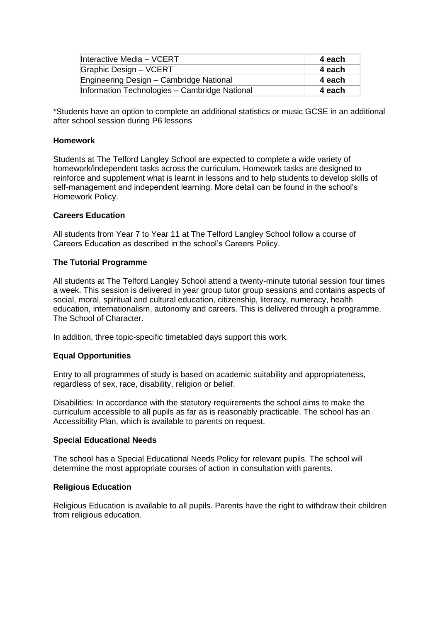| Interactive Media - VCERT                     | 4 each |
|-----------------------------------------------|--------|
| Graphic Design - VCERT                        | 4 each |
| Engineering Design - Cambridge National       | 4 each |
| Information Technologies - Cambridge National | 4 each |

\*Students have an option to complete an additional statistics or music GCSE in an additional after school session during P6 lessons

#### **Homework**

Students at The Telford Langley School are expected to complete a wide variety of homework/independent tasks across the curriculum. Homework tasks are designed to reinforce and supplement what is learnt in lessons and to help students to develop skills of self-management and independent learning. More detail can be found in the school's Homework Policy.

#### **Careers Education**

All students from Year 7 to Year 11 at The Telford Langley School follow a course of Careers Education as described in the school's Careers Policy.

#### **The Tutorial Programme**

All students at The Telford Langley School attend a twenty-minute tutorial session four times a week. This session is delivered in year group tutor group sessions and contains aspects of social, moral, spiritual and cultural education, citizenship, literacy, numeracy, health education, internationalism, autonomy and careers. This is delivered through a programme, The School of Character.

In addition, three topic-specific timetabled days support this work.

#### **Equal Opportunities**

Entry to all programmes of study is based on academic suitability and appropriateness, regardless of sex, race, disability, religion or belief.

Disabilities: In accordance with the statutory requirements the school aims to make the curriculum accessible to all pupils as far as is reasonably practicable. The school has an Accessibility Plan, which is available to parents on request.

#### **Special Educational Needs**

The school has a Special Educational Needs Policy for relevant pupils. The school will determine the most appropriate courses of action in consultation with parents.

#### **Religious Education**

Religious Education is available to all pupils. Parents have the right to withdraw their children from religious education.